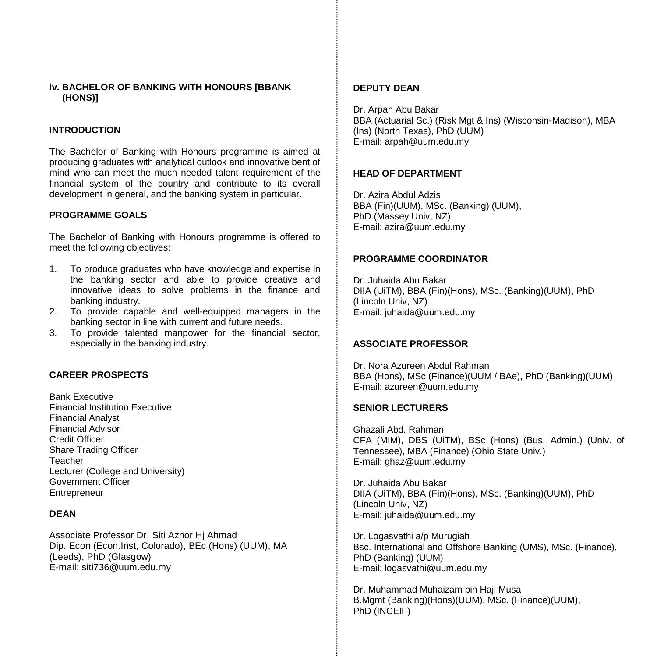### **iv. BACHELOR OF BANKING WITH HONOURS [BBANK (HONS)]**

### **INTRODUCTION**

The Bachelor of Banking with Honours programme is aimed at producing graduates with analytical outlook and innovative bent of mind who can meet the much needed talent requirement of the financial system of the country and contribute to its overall development in general, and the banking system in particular.

#### **PROGRAMME GOALS**

The Bachelor of Banking with Honours programme is offered to meet the following objectives:

- 1. To produce graduates who have knowledge and expertise in the banking sector and able to provide creative and innovative ideas to solve problems in the finance and banking industry.
- 2. To provide capable and well-equipped managers in the banking sector in line with current and future needs.
- 3. To provide talented manpower for the financial sector, especially in the banking industry.

### **CAREER PROSPECTS**

Bank Executive Financial Institution Executive Financial Analyst Financial Advisor Credit Officer Share Trading Officer Teacher Lecturer (College and University) Government Officer **Entrepreneur** 

### **DEAN**

Associate Professor Dr. Siti Aznor Hj Ahmad Dip. Econ (Econ.Inst, Colorado), BEc (Hons) (UUM), MA (Leeds), PhD (Glasgow) E-mail: siti736@uum.edu.my

#### **DEPUTY DEAN**

Dr. Arpah Abu Bakar BBA (Actuarial Sc.) (Risk Mgt & Ins) (Wisconsin-Madison), MBA (Ins) (North Texas), PhD (UUM) E-mail: arpah@uum.edu.my

### **HEAD OF DEPARTMENT**

Dr. Azira Abdul Adzis BBA (Fin)(UUM), MSc. (Banking) (UUM), PhD (Massey Univ, NZ) E-mail: azira@uum.edu.my

#### **PROGRAMME COORDINATOR**

Dr. Juhaida Abu Bakar DIIA (UiTM), BBA (Fin)(Hons), MSc. (Banking)(UUM), PhD (Lincoln Univ, NZ) E-mail: juhaida@uum.edu.my

### **ASSOCIATE PROFESSOR**

Dr. Nora Azureen Abdul Rahman BBA (Hons), MSc (Finance)(UUM / BAe), PhD (Banking)(UUM) E-mail: azureen@uum.edu.my

#### **SENIOR LECTURERS**

Ghazali Abd. Rahman CFA (MIM), DBS (UiTM), BSc (Hons) (Bus. Admin.) (Univ. of Tennessee), MBA (Finance) (Ohio State Univ.) E-mail: [ghaz@uum.edu.my](mailto:ghaz@uum.edu.my)

Dr. Juhaida Abu Bakar DIIA (UiTM), BBA (Fin)(Hons), MSc. (Banking)(UUM), PhD (Lincoln Univ, NZ) E-mail: juhaida@uum.edu.my

Dr. Logasvathi a/p Murugiah Bsc. International and Offshore Banking (UMS), MSc. (Finance), PhD (Banking) (UUM) E-mail: [logasvathi@uum.edu.my](mailto:logasvathi@uum.edu.my)

Dr. Muhammad Muhaizam bin Haji Musa B.Mgmt (Banking)(Hons)(UUM), MSc. (Finance)(UUM), PhD (INCEIF)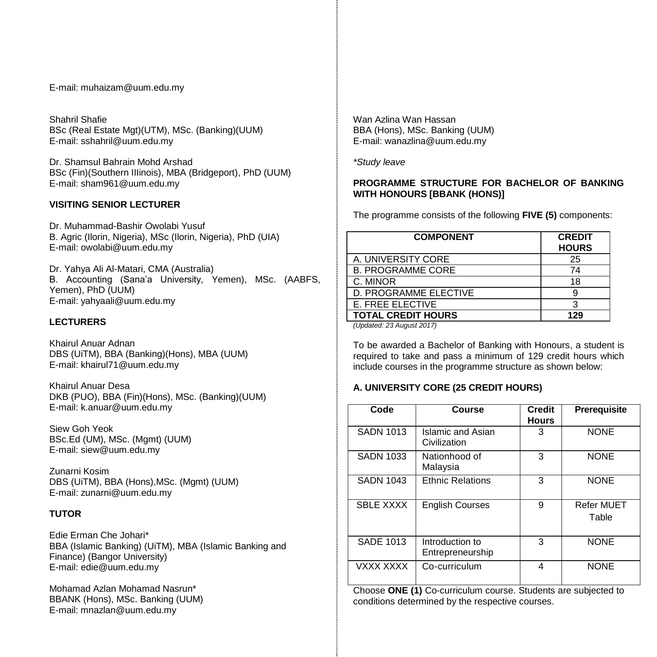E-mail[: muhaizam@uum.edu.my](https://uummail.uum.edu.my/OWA/redir.aspx?C=316134b06fae444581b2bc670d646f2b&URL=mailto%3amuhaizam%40uum.edu.my)

Shahril Shafie BSc (Real Estate Mgt)(UTM), MSc. (Banking)(UUM) E-mail[: sshahril@uum.edu.my](mailto:sshahril@uum.edu.my)

Dr. Shamsul Bahrain Mohd Arshad BSc (Fin)(Southern IIIinois), MBA (Bridgeport), PhD (UUM) E-mail: sham961@uum.edu.my

### **VISITING SENIOR LECTURER**

Dr. Muhammad-Bashir Owolabi Yusuf B. Agric (Ilorin, Nigeria), MSc (Ilorin, Nigeria), PhD (UIA) E-mail: owolabi@uum.edu.my

Dr. Yahya Ali Al-Matari, CMA (Australia) B. Accounting (Sana'a University, Yemen), MSc. (AABFS, Yemen), PhD (UUM) E-mail: yahyaali@uum.edu.my

# **LECTURERS**

Khairul Anuar Adnan DBS (UiTM), BBA (Banking)(Hons), MBA (UUM) E-mail: khairul71@uum.edu.my

Khairul Anuar Desa DKB (PUO), BBA (Fin)(Hons), MSc. (Banking)(UUM) E-mail: k.anuar@uum.edu.my

Siew Goh Yeok BSc.Ed (UM), MSc. (Mgmt) (UUM) E-mail[: siew@uum.edu.my](mailto:siew@uum.edu.my)

Zunarni Kosim DBS (UiTM), BBA (Hons),MSc. (Mgmt) (UUM) E-mail: zunarni@uum.edu.my

# **TUTOR**

Edie Erman Che Johari\* BBA (Islamic Banking) (UiTM), MBA (Islamic Banking and Finance) (Bangor University) E-mail: edie@uum.edu.my

Mohamad Azlan Mohamad Nasrun\* BBANK (Hons), MSc. Banking (UUM) E-mail: mnazlan@uum.edu.my

Wan Azlina Wan Hassan BBA (Hons), MSc. Banking (UUM) E-mail: wanazlina@uum.edu.my

*\*Study leave*

# **PROGRAMME STRUCTURE FOR BACHELOR OF BANKING WITH HONOURS [BBANK (HONS)]**

The programme consists of the following **FIVE (5)** components:

| <b>COMPONENT</b>               | <b>CREDIT</b><br><b>HOURS</b> |
|--------------------------------|-------------------------------|
| A. UNIVERSITY CORE             | 25                            |
| <b>B. PROGRAMME CORE</b>       | 74                            |
| C. MINOR                       | 18                            |
| D. PROGRAMME ELECTIVE          | я                             |
| <b>E. FREE ELECTIVE</b>        | З                             |
| <b>TOTAL CREDIT HOURS</b>      | 129                           |
| $(1)$ Indated: 23 August 2017) |                               |

*(Updated: 23 August 2017)*

To be awarded a Bachelor of Banking with Honours, a student is required to take and pass a minimum of 129 credit hours which include courses in the programme structure as shown below:

# **A. UNIVERSITY CORE (25 CREDIT HOURS)**

| Code             | Course                              | <b>Credit</b><br><b>Hours</b> | Prerequisite               |
|------------------|-------------------------------------|-------------------------------|----------------------------|
| <b>SADN 1013</b> | Islamic and Asian<br>Civilization   | 3                             | <b>NONE</b>                |
| <b>SADN 1033</b> | Nationhood of<br>Malaysia           | 3                             | <b>NONE</b>                |
| <b>SADN 1043</b> | <b>Ethnic Relations</b>             | 3                             | <b>NONE</b>                |
| <b>SBLE XXXX</b> | <b>English Courses</b>              | 9                             | <b>Refer MUET</b><br>Table |
| <b>SADE 1013</b> | Introduction to<br>Entrepreneurship | 3                             | <b>NONE</b>                |
| VXXX XXXX        | Co-curriculum                       | 4                             | <b>NONE</b>                |

Choose **ONE (1)** Co-curriculum course. Students are subjected to conditions determined by the respective courses.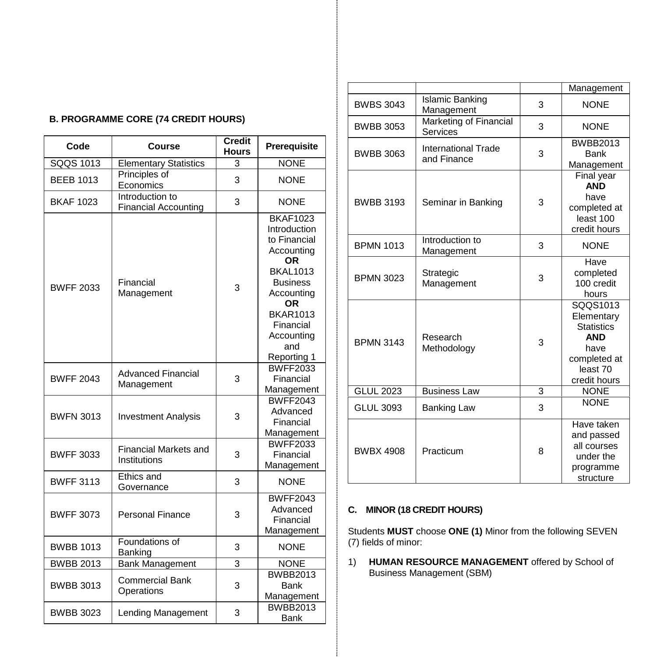| <b>B. PROGRAMME CORE (74 CREDIT HOURS)</b> |
|--------------------------------------------|
|--------------------------------------------|

| Code             | Course                                         | <b>Credit</b><br>Hours | Prerequisite                                                                                                                                                                                      |
|------------------|------------------------------------------------|------------------------|---------------------------------------------------------------------------------------------------------------------------------------------------------------------------------------------------|
| SQQS 1013        | <b>Elementary Statistics</b>                   | 3                      | <b>NONE</b>                                                                                                                                                                                       |
| <b>BEEB 1013</b> | Principles of<br>Economics                     | 3                      | <b>NONE</b>                                                                                                                                                                                       |
| <b>BKAF 1023</b> | Introduction to<br><b>Financial Accounting</b> | 3                      | <b>NONE</b>                                                                                                                                                                                       |
| <b>BWFF 2033</b> | Financial<br>Management                        | 3                      | <b>BKAF1023</b><br>Introduction<br>to Financial<br>Accounting<br>OR<br><b>BKAL1013</b><br><b>Business</b><br>Accounting<br>ΟR<br><b>BKAR1013</b><br>Financial<br>Accounting<br>and<br>Reporting 1 |
| <b>BWFF 2043</b> | Advanced Financial<br>Management               | 3                      | <b>BWFF2033</b><br>Financial<br>Management                                                                                                                                                        |
| <b>BWFN 3013</b> | <b>Investment Analysis</b>                     | 3                      | <b>BWFF2043</b><br>Advanced<br>Financial<br>Management                                                                                                                                            |
| <b>BWFF 3033</b> | <b>Financial Markets and</b><br>Institutions   | 3                      | <b>BWFF2033</b><br>Financial<br>Management                                                                                                                                                        |
| <b>BWFF 3113</b> | Ethics and<br>Governance                       | 3                      | <b>NONE</b>                                                                                                                                                                                       |
| <b>BWFF 3073</b> | <b>Personal Finance</b>                        | 3                      | <b>BWFF2043</b><br>Advanced<br>Financial<br>Management                                                                                                                                            |
| <b>BWBB 1013</b> | Foundations of<br>Banking                      | 3                      | <b>NONE</b>                                                                                                                                                                                       |
| <b>BWBB 2013</b> | <b>Bank Management</b>                         | 3                      | <b>NONE</b>                                                                                                                                                                                       |
| <b>BWBB 3013</b> | <b>Commercial Bank</b><br>Operations           | 3                      | <b>BWBB2013</b><br>Bank<br>Management                                                                                                                                                             |
| <b>BWBB 3023</b> | <b>Lending Management</b>                      | 3                      | <b>BWBB2013</b><br>Bank                                                                                                                                                                           |

|                  |                                           |   | Management                                                                                                    |
|------------------|-------------------------------------------|---|---------------------------------------------------------------------------------------------------------------|
| <b>BWBS 3043</b> | Islamic Banking<br>Management             | 3 | <b>NONE</b>                                                                                                   |
| <b>BWBB 3053</b> | Marketing of Financial<br>Services        | 3 | <b>NONE</b>                                                                                                   |
| BWBB 3063        | <b>International Trade</b><br>and Finance | 3 | <b>BWBB2013</b><br>Bank<br>Management                                                                         |
| <b>BWBB 3193</b> | Seminar in Banking                        | 3 | Final year<br><b>AND</b><br>have<br>completed at<br>least 100<br>credit hours                                 |
| <b>BPMN 1013</b> | Introduction to<br>Management             | 3 | <b>NONF</b>                                                                                                   |
| <b>BPMN 3023</b> | Strategic<br>Management                   | 3 | Have<br>completed<br>100 credit<br>hours                                                                      |
| <b>BPMN 3143</b> | Research<br>Methodology                   | 3 | SQQS1013<br>Elementary<br><b>Statistics</b><br><b>AND</b><br>have<br>completed at<br>least 70<br>credit hours |
| <b>GLUL 2023</b> | <b>Business Law</b>                       | 3 | <b>NONE</b>                                                                                                   |
| <b>GLUL 3093</b> | <b>Banking Law</b>                        | 3 | <b>NONE</b>                                                                                                   |
| <b>BWBX 4908</b> | Practicum                                 | 8 | Have taken<br>and passed<br>all courses<br>under the<br>programme<br>structure                                |

# **C. MINOR (18 CREDIT HOURS)**

Students **MUST** choose **ONE (1)** Minor from the following SEVEN (7) fields of minor:

1) **HUMAN RESOURCE MANAGEMENT** offered by School of Business Management (SBM)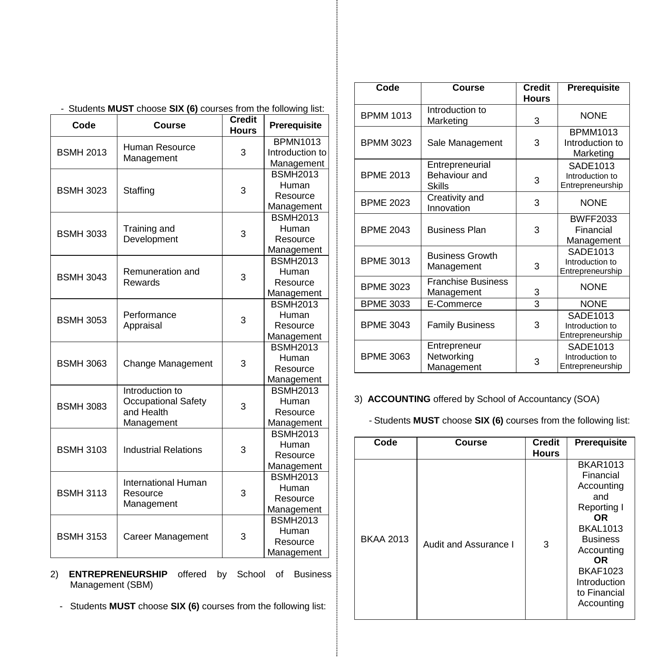| Code             | Course                      | <b>Credit</b><br><b>Hours</b> | Prerequisite    |
|------------------|-----------------------------|-------------------------------|-----------------|
|                  | Human Resource              |                               | <b>BPMN1013</b> |
| <b>BSMH 2013</b> | Management                  | 3                             | Introduction to |
|                  |                             |                               | Management      |
|                  |                             |                               | <b>BSMH2013</b> |
| <b>BSMH 3023</b> | Staffing                    | 3                             | Human           |
|                  |                             |                               | Resource        |
|                  |                             |                               | Management      |
|                  |                             |                               | <b>BSMH2013</b> |
| <b>BSMH 3033</b> | Training and                | 3                             | Human           |
|                  | Development                 |                               | Resource        |
|                  |                             |                               | Management      |
|                  |                             |                               | <b>BSMH2013</b> |
| <b>BSMH 3043</b> | Remuneration and            | 3                             | Human           |
|                  | Rewards                     |                               | Resource        |
|                  |                             |                               | Management      |
| <b>BSMH 3053</b> | Performance<br>Appraisal    |                               | <b>BSMH2013</b> |
|                  |                             | 3                             | Human           |
|                  |                             |                               | Resource        |
|                  |                             |                               | Management      |
|                  | Change Management           | 3                             | <b>BSMH2013</b> |
| <b>BSMH 3063</b> |                             |                               | Human           |
|                  |                             |                               | Resource        |
|                  |                             |                               | Management      |
|                  | Introduction to             |                               | <b>BSMH2013</b> |
| <b>BSMH 3083</b> | <b>Occupational Safety</b>  | 3                             | Human           |
|                  | and Health                  |                               | Resource        |
|                  | Management                  |                               | Management      |
|                  |                             |                               | <b>BSMH2013</b> |
| <b>BSMH 3103</b> | <b>Industrial Relations</b> | 3                             | Human           |
|                  |                             |                               | Resource        |
|                  |                             |                               | Management      |
|                  | International Human         |                               | <b>BSMH2013</b> |
| <b>BSMH 3113</b> | Resource                    | 3                             | Human           |
|                  | Management                  |                               | Resource        |
|                  |                             |                               | Management      |
|                  |                             |                               | <b>BSMH2013</b> |
| <b>BSMH 3153</b> | Career Management           | 3                             | Human           |
|                  |                             |                               | Resource        |
|                  |                             |                               | Management      |

# - Students **MUST** choose **SIX (6)** courses from the following list:

2) **ENTREPRENEURSHIP** offered by School of Business Management (SBM)

- Students **MUST** choose **SIX (6)** courses from the following list:

| Code             | Course                                            | Credit<br><b>Hours</b> | Prerequisite                                    |
|------------------|---------------------------------------------------|------------------------|-------------------------------------------------|
| <b>BPMM 1013</b> | Introduction to<br>Marketing                      | 3                      | <b>NONE</b>                                     |
| <b>BPMM 3023</b> | Sale Management                                   | 3                      | <b>BPMM1013</b><br>Introduction to<br>Marketing |
| <b>BPME 2013</b> | Entrepreneurial<br><b>Behaviour and</b><br>Skills | 3                      | SADE1013<br>Introduction to<br>Entrepreneurship |
| <b>BPME 2023</b> | Creativity and<br>Innovation                      | 3                      | <b>NONE</b>                                     |
| <b>BPMF 2043</b> | <b>Business Plan</b>                              | 3                      | <b>BWFF2033</b><br>Financial<br>Management      |
| <b>BPME 3013</b> | <b>Business Growth</b><br>Management              | 3                      | SADE1013<br>Introduction to<br>Entrepreneurship |
| <b>BPME 3023</b> | <b>Franchise Business</b><br>Management           | 3                      | <b>NONE</b>                                     |
| <b>BPME 3033</b> | E-Commerce                                        | 3                      | <b>NONE</b>                                     |
| <b>BPME 3043</b> | <b>Family Business</b>                            | 3                      | SADE1013<br>Introduction to<br>Entrepreneurship |
| <b>BPME 3063</b> | Entrepreneur<br>Networking<br>Management          | 3                      | SADE1013<br>Introduction to<br>Entrepreneurship |

# 3) **ACCOUNTING** offered by School of Accountancy (SOA)

- Students **MUST** choose **SIX (6)** courses from the following list:

| Code             | Course                | <b>Credit</b><br><b>Hours</b> | Prerequisite                                                                                                                                                                                              |
|------------------|-----------------------|-------------------------------|-----------------------------------------------------------------------------------------------------------------------------------------------------------------------------------------------------------|
| <b>BKAA 2013</b> | Audit and Assurance I | 3                             | <b>BKAR1013</b><br>Financial<br>Accounting<br>and<br>Reporting I<br>OR.<br><b>BKAL1013</b><br><b>Business</b><br>Accounting<br><b>OR</b><br><b>BKAF1023</b><br>Introduction<br>to Financial<br>Accounting |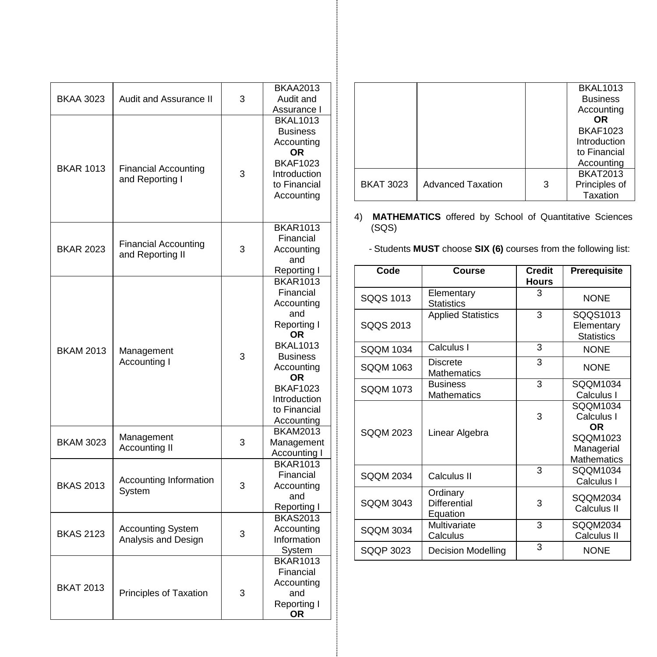|                  |                                                 |   | <b>BKAA2013</b>                |
|------------------|-------------------------------------------------|---|--------------------------------|
| <b>BKAA 3023</b> | Audit and Assurance II                          | 3 | Audit and<br>Assurance I       |
|                  |                                                 |   | <b>BKAL1013</b>                |
|                  |                                                 |   | <b>Business</b>                |
|                  |                                                 |   | Accounting                     |
|                  |                                                 |   | <b>OR</b>                      |
|                  |                                                 |   | <b>BKAF1023</b>                |
| <b>BKAR 1013</b> | Financial Accounting                            | 3 | Introduction                   |
|                  | and Reporting I                                 |   | to Financial                   |
|                  |                                                 |   | Accounting                     |
|                  |                                                 |   |                                |
|                  |                                                 |   |                                |
|                  |                                                 |   | <b>BKAR1013</b>                |
|                  | <b>Financial Accounting</b>                     |   | Financial                      |
| <b>BKAR 2023</b> | and Reporting II                                | 3 | Accounting                     |
|                  |                                                 |   | and                            |
|                  |                                                 |   | Reporting I<br><b>BKAR1013</b> |
|                  |                                                 |   | Financial                      |
|                  |                                                 |   | Accounting                     |
|                  |                                                 |   | and                            |
|                  |                                                 |   | Reporting I                    |
|                  | Management<br>Accounting I                      |   | OR                             |
|                  |                                                 |   | <b>BKAL1013</b>                |
| <b>BKAM 2013</b> |                                                 | 3 | <b>Business</b>                |
|                  |                                                 |   | Accounting                     |
|                  |                                                 |   | ΟR                             |
|                  |                                                 |   | <b>BKAF1023</b>                |
|                  |                                                 |   | Introduction                   |
|                  |                                                 |   | to Financial                   |
|                  |                                                 |   | Accounting                     |
|                  | Management                                      |   | <b>BKAM2013</b>                |
| <b>BKAM 3023</b> | <b>Accounting II</b>                            | 3 | Management                     |
|                  |                                                 |   | Accounting I                   |
|                  | Accounting Information                          |   | <b>BKAR1013</b>                |
|                  |                                                 |   | Financial                      |
| <b>BKAS 2013</b> | System                                          | 3 | Accounting                     |
|                  |                                                 |   | and                            |
|                  |                                                 |   | Reporting I<br><b>BKAS2013</b> |
| <b>BKAS 2123</b> |                                                 |   | Accounting                     |
|                  | <b>Accounting System</b><br>Analysis and Design | 3 | Information                    |
|                  |                                                 |   | System                         |
|                  |                                                 |   | <b>BKAR1013</b>                |
|                  |                                                 |   | Financial                      |
|                  |                                                 | 3 | Accounting                     |
| <b>BKAT 2013</b> | Principles of Taxation                          |   | and                            |
|                  |                                                 |   | Reporting I                    |
|                  |                                                 |   | ОR                             |
|                  |                                                 |   |                                |

|                  |                          |   | <b>BKAL1013</b> |
|------------------|--------------------------|---|-----------------|
|                  |                          |   | <b>Business</b> |
|                  |                          |   | Accounting      |
|                  |                          |   | <b>OR</b>       |
|                  |                          |   | <b>BKAF1023</b> |
|                  |                          |   | Introduction    |
|                  |                          |   | to Financial    |
|                  |                          |   | Accounting      |
|                  |                          |   | <b>BKAT2013</b> |
| <b>BKAT 3023</b> | <b>Advanced Taxation</b> | 3 | Principles of   |
|                  |                          |   | Taxation        |

4) **MATHEMATICS** offered by School of Quantitative Sciences (SQS)

- Students **MUST** choose **SIX (6)** courses from the following list:

| Code             | Course                                | <b>Credit</b><br>Hours | Prerequisite                                                                  |
|------------------|---------------------------------------|------------------------|-------------------------------------------------------------------------------|
| SOOS 1013        | Elementary<br><b>Statistics</b>       | 3                      | <b>NONF</b>                                                                   |
| SQQS 2013        | <b>Applied Statistics</b>             | 3                      | SQQS1013<br>Elementary<br><b>Statistics</b>                                   |
| SOOM 1034        | Calculus I                            | 3                      | <b>NONE</b>                                                                   |
| SOOM 1063        | Discrete<br><b>Mathematics</b>        | 3                      | <b>NONE</b>                                                                   |
| SOOM 1073        | <b>Business</b><br><b>Mathematics</b> | 3                      | SQQM1034<br>Calculus I                                                        |
| SOOM 2023        | Linear Algebra                        | 3                      | SQQM1034<br>Calculus I<br>OR.<br>SQQM1023<br>Managerial<br><b>Mathematics</b> |
| <b>SQQM 2034</b> | Calculus II                           | 3                      | SOOM1034<br>Calculus I                                                        |
| <b>SQQM 3043</b> | Ordinary<br>Differential<br>Equation  | 3                      | SQQM2034<br>Calculus II                                                       |
| SOOM 3034        | Multivariate<br>Calculus              | 3                      | SQQM2034<br>Calculus II                                                       |
| SOOP 3023        | <b>Decision Modelling</b>             | 3                      | <b>NONE</b>                                                                   |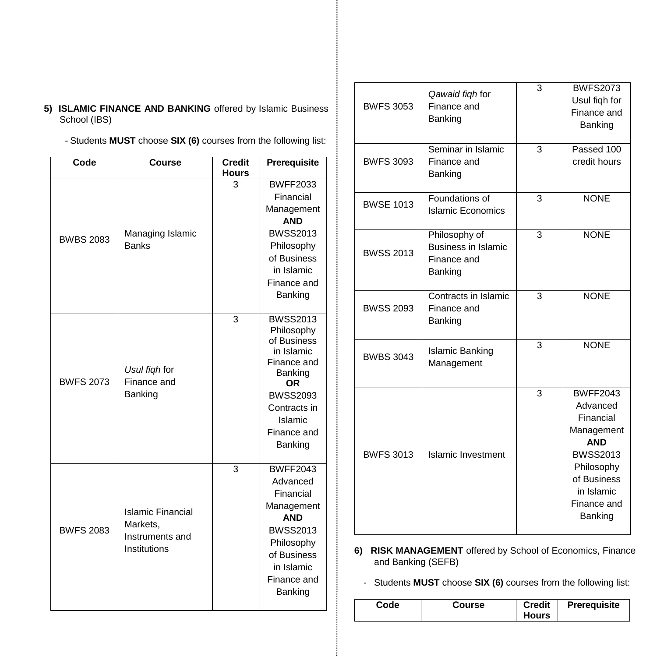- **5) ISLAMIC FINANCE AND BANKING** offered by Islamic Business School (IBS)
	- Students **MUST** choose **SIX (6)** courses from the following list:

| Code             | <b>Course</b>                                                           | <b>Credit</b><br><b>Hours</b> | Prerequisite                                                                                                                                                              |
|------------------|-------------------------------------------------------------------------|-------------------------------|---------------------------------------------------------------------------------------------------------------------------------------------------------------------------|
| <b>BWBS 2083</b> | Managing Islamic<br><b>Banks</b>                                        | 3                             | <b>BWFF2033</b><br>Financial<br>Management<br><b>AND</b><br><b>BWSS2013</b><br>Philosophy<br>of Business<br>in Islamic<br>Finance and<br><b>Banking</b>                   |
| <b>BWFS 2073</b> | Usul figh for<br>Finance and<br>Banking                                 | 3                             | <b>BWSS2013</b><br>Philosophy<br>of Business<br>in Islamic<br>Finance and<br>Banking<br><b>OR</b><br><b>BWSS2093</b><br>Contracts in<br>Islamic<br>Finance and<br>Banking |
| <b>BWFS 2083</b> | <b>Islamic Financial</b><br>Markets.<br>Instruments and<br>Institutions | 3                             | <b>BWFF2043</b><br>Advanced<br>Financial<br>Management<br><b>AND</b><br><b>BWSS2013</b><br>Philosophy<br>of Business<br>in Islamic<br>Finance and<br>Banking              |

| <b>BWFS 3053</b> | Qawaid fiqh for<br>Finance and<br>Banking                             | 3 | <b>BWFS2073</b><br>Usul figh for<br>Finance and<br>Banking                                                                                                   |
|------------------|-----------------------------------------------------------------------|---|--------------------------------------------------------------------------------------------------------------------------------------------------------------|
| <b>BWFS 3093</b> | Seminar in Islamic<br>Finance and<br>Banking                          | 3 | Passed 100<br>credit hours                                                                                                                                   |
| <b>BWSE 1013</b> | Foundations of<br>3<br><b>Islamic Economics</b>                       |   | <b>NONE</b>                                                                                                                                                  |
| <b>BWSS 2013</b> | Philosophy of<br><b>Business in Islamic</b><br>Finance and<br>Banking | 3 | <b>NONE</b>                                                                                                                                                  |
| <b>BWSS 2093</b> | Contracts in Islamic<br>Finance and<br>Banking                        | 3 | <b>NONE</b>                                                                                                                                                  |
| <b>BWBS 3043</b> | Islamic Banking<br>Management                                         |   | <b>NONE</b>                                                                                                                                                  |
| <b>BWFS 3013</b> | <b>Islamic Investment</b>                                             | 3 | <b>BWFF2043</b><br>Advanced<br>Financial<br>Management<br><b>AND</b><br><b>BWSS2013</b><br>Philosophy<br>of Business<br>in Islamic<br>Finance and<br>Banking |

**6) RISK MANAGEMENT** offered by School of Economics, Finance and Banking (SEFB)

- Students **MUST** choose **SIX (6)** courses from the following list: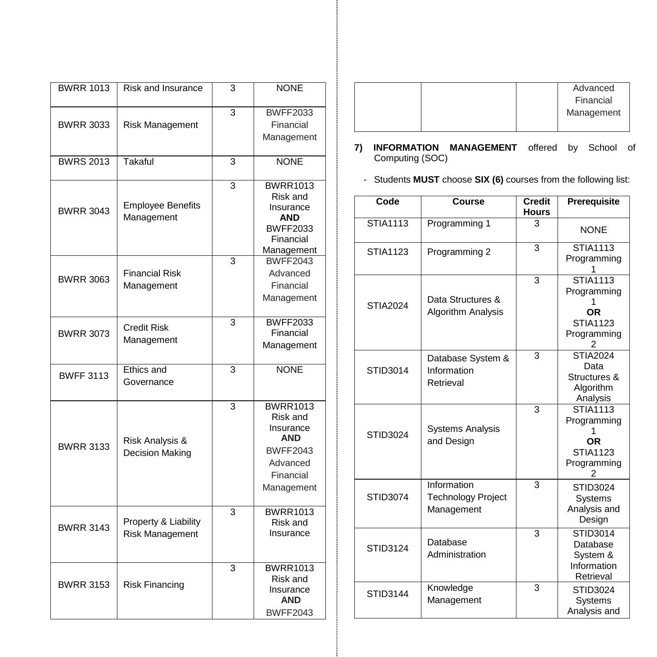| <b>BWRR 1013</b> | <b>Risk and Insurance</b>               | 3 | <b>NONE</b>                                                                                          |
|------------------|-----------------------------------------|---|------------------------------------------------------------------------------------------------------|
|                  |                                         |   |                                                                                                      |
|                  |                                         | 3 | <b>BWFF2033</b>                                                                                      |
| <b>BWRR 3033</b> | Risk Management                         |   | Financial                                                                                            |
|                  |                                         |   | Management                                                                                           |
| <b>BWRS 2013</b> | Takaful                                 | 3 | <b>NONE</b>                                                                                          |
| <b>BWRR 3043</b> | <b>Employee Benefits</b><br>Management  | 3 | <b>BWRR1013</b><br>Risk and<br>Insurance<br><b>AND</b><br><b>BWFF2033</b><br>Financial<br>Management |
|                  |                                         | 3 | <b>BWFF2043</b>                                                                                      |
| <b>BWRR 3063</b> | <b>Financial Risk</b>                   |   | Advanced                                                                                             |
|                  | Management                              |   | Financial                                                                                            |
|                  |                                         |   | Management                                                                                           |
|                  |                                         | 3 | <b>BWFF2033</b>                                                                                      |
| <b>BWRR 3073</b> | Credit Risk<br>Management               |   | Financial                                                                                            |
|                  |                                         |   | Management                                                                                           |
| <b>BWFF 3113</b> | Ethics and                              | 3 | <b>NONE</b>                                                                                          |
|                  | Governance                              |   |                                                                                                      |
|                  |                                         | 3 | <b>BWRR1013</b><br>Risk and<br>Insurance                                                             |
|                  | Risk Analysis &                         |   | <b>AND</b>                                                                                           |
| <b>BWRR 3133</b> | Decision Making                         |   | <b>BWFF2043</b>                                                                                      |
|                  |                                         |   | Advanced                                                                                             |
|                  |                                         |   | Financial                                                                                            |
|                  |                                         |   | Management                                                                                           |
| <b>BWRR 3143</b> | Property & Liability<br>Risk Management | 3 | <b>BWRR1013</b><br>Risk and<br>Insurance                                                             |
| <b>BWRR 3153</b> | <b>Risk Financing</b>                   | 3 | <b>BWRR1013</b><br>Risk and<br>Insurance<br><b>AND</b><br><b>BWFF2043</b>                            |

|  | Advanced   |
|--|------------|
|  | Financial  |
|  | Management |
|  |            |

- **7) INFORMATION MANAGEMENT** offered by School of Computing (SOC)
	- Students **MUST** choose **SIX (6)** courses from the following list:

| Code            | Course                                                 | <b>Credit</b><br><b>Hours</b> | Prerequisite                                                                            |
|-----------------|--------------------------------------------------------|-------------------------------|-----------------------------------------------------------------------------------------|
| <b>STIA1113</b> | Programming 1                                          | 3                             | <b>NONE</b>                                                                             |
| STIA1123        | Programming 2                                          | 3                             | <b>STIA1113</b><br>Programming                                                          |
| <b>STIA2024</b> | Data Structures &<br><b>Algorithm Analysis</b>         | 3<br>3<br>3                   | <b>STIA1113</b><br>Programming<br>OR<br><b>STIA1123</b><br>Programming                  |
| STID3014        | Database System &<br>Information<br>Retrieval          |                               | <b>STIA2024</b><br>Data<br>Structures &<br>Algorithm<br>Analysis                        |
| STID3024        | <b>Systems Analysis</b><br>and Design                  |                               | <b>STIA1113</b><br>Programming<br>1<br><b>OR</b><br><b>STIA1123</b><br>Programming<br>2 |
| STID3074        | Information<br><b>Technology Project</b><br>Management | 3                             | <b>STID3024</b><br><b>Systems</b><br>Analysis and<br>Design                             |
| <b>STID3124</b> | Database<br>Administration                             | 3                             | STID3014<br>Database<br>System &<br>Information<br>Retrieval                            |
| <b>STID3144</b> | Knowledge<br>Management                                | 3                             | <b>STID3024</b><br>Systems<br>Analysis and                                              |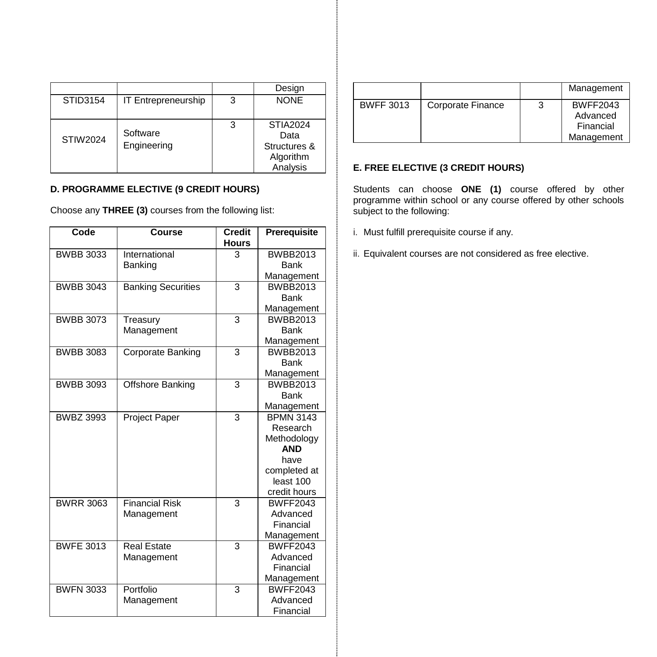|                 |                         |   | Design                                  |
|-----------------|-------------------------|---|-----------------------------------------|
| STID3154        | IT Entrepreneurship     | 3 | <b>NONE</b>                             |
| <b>STIW2024</b> | Software<br>Engineering | 3 | <b>STIA2024</b><br>Data<br>Structures & |
|                 |                         |   | Algorithm<br>Analysis                   |

# **D. PROGRAMME ELECTIVE (9 CREDIT HOURS)**

Choose any **THREE (3)** courses from the following list:

| <b>Course</b>             | <b>Credit</b><br><b>Hours</b>                                                                                                                                                     | Prerequisite                         |
|---------------------------|-----------------------------------------------------------------------------------------------------------------------------------------------------------------------------------|--------------------------------------|
| International             | 3                                                                                                                                                                                 | <b>BWBB2013</b>                      |
| Banking                   |                                                                                                                                                                                   | Bank                                 |
|                           |                                                                                                                                                                                   | Management                           |
| <b>Banking Securities</b> |                                                                                                                                                                                   | <b>BWBB2013</b>                      |
|                           |                                                                                                                                                                                   | Bank                                 |
|                           |                                                                                                                                                                                   | Management                           |
| Treasury                  |                                                                                                                                                                                   | <b>BWBB2013</b>                      |
|                           |                                                                                                                                                                                   | Bank                                 |
|                           |                                                                                                                                                                                   | Management                           |
|                           |                                                                                                                                                                                   | <b>BWBB2013</b>                      |
|                           |                                                                                                                                                                                   | Bank                                 |
|                           |                                                                                                                                                                                   | Management                           |
|                           |                                                                                                                                                                                   | <b>BWBB2013</b>                      |
|                           |                                                                                                                                                                                   | Bank                                 |
|                           |                                                                                                                                                                                   | Management                           |
|                           |                                                                                                                                                                                   | <b>BPMN 3143</b>                     |
|                           |                                                                                                                                                                                   | Research                             |
|                           |                                                                                                                                                                                   | Methodology                          |
|                           |                                                                                                                                                                                   | <b>AND</b>                           |
|                           |                                                                                                                                                                                   | have                                 |
|                           |                                                                                                                                                                                   | completed at                         |
|                           |                                                                                                                                                                                   | least 100                            |
|                           |                                                                                                                                                                                   | credit hours                         |
|                           |                                                                                                                                                                                   | <b>BWFF2043</b>                      |
|                           |                                                                                                                                                                                   | Advanced<br>Financial                |
|                           |                                                                                                                                                                                   |                                      |
|                           |                                                                                                                                                                                   | Management<br><b>BWFF2043</b>        |
|                           |                                                                                                                                                                                   | Advanced                             |
|                           |                                                                                                                                                                                   | Financial                            |
|                           |                                                                                                                                                                                   | Management                           |
|                           |                                                                                                                                                                                   | <b>BWFF2043</b>                      |
|                           |                                                                                                                                                                                   | Advanced                             |
|                           |                                                                                                                                                                                   | Financial                            |
|                           | Management<br>Corporate Banking<br>Offshore Banking<br><b>Project Paper</b><br><b>Financial Risk</b><br>Management<br><b>Real Estate</b><br>Management<br>Portfolio<br>Management | 3<br>3<br>3<br>3<br>3<br>3<br>3<br>3 |

|                  |                   | Management                                             |
|------------------|-------------------|--------------------------------------------------------|
| <b>BWFF 3013</b> | Corporate Finance | <b>BWFF2043</b><br>Advanced<br>Financial<br>Management |

# **E. FREE ELECTIVE (3 CREDIT HOURS)**

Students can choose **ONE (1)** course offered by other programme within school or any course offered by other schools subject to the following:

- i. Must fulfill prerequisite course if any.
- ii. Equivalent courses are not considered as free elective.